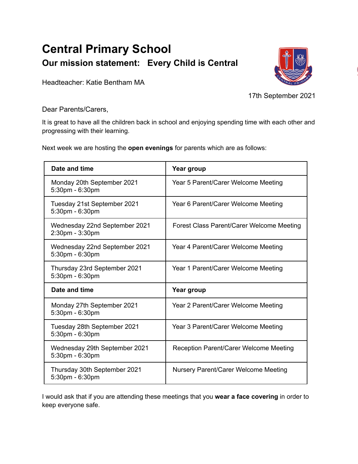## **Central Primary School Our mission statement: Every Child is Central**



Headteacher: Katie Bentham MA

17th September 2021

Dear Parents/Carers,

It is great to have all the children back in school and enjoying spending time with each other and progressing with their learning.

Next week we are hosting the **open evenings** for parents which are as follows:

| Date and time                                    | Year group                                |
|--------------------------------------------------|-------------------------------------------|
| Monday 20th September 2021<br>5:30pm - 6:30pm    | Year 5 Parent/Carer Welcome Meeting       |
| Tuesday 21st September 2021<br>5:30pm - 6:30pm   | Year 6 Parent/Carer Welcome Meeting       |
| Wednesday 22nd September 2021<br>2:30pm - 3:30pm | Forest Class Parent/Carer Welcome Meeting |
| Wednesday 22nd September 2021<br>5:30pm - 6:30pm | Year 4 Parent/Carer Welcome Meeting       |
| Thursday 23rd September 2021<br>5:30pm - 6:30pm  | Year 1 Parent/Carer Welcome Meeting       |
| Date and time                                    | Year group                                |
| Monday 27th September 2021<br>5:30pm - 6:30pm    | Year 2 Parent/Carer Welcome Meeting       |
| Tuesday 28th September 2021<br>5:30pm - 6:30pm   | Year 3 Parent/Carer Welcome Meeting       |
| Wednesday 29th September 2021<br>5:30pm - 6:30pm | Reception Parent/Carer Welcome Meeting    |
| Thursday 30th September 2021<br>5:30pm - 6:30pm  | Nursery Parent/Carer Welcome Meeting      |

I would ask that if you are attending these meetings that you **wear a face covering** in order to keep everyone safe.